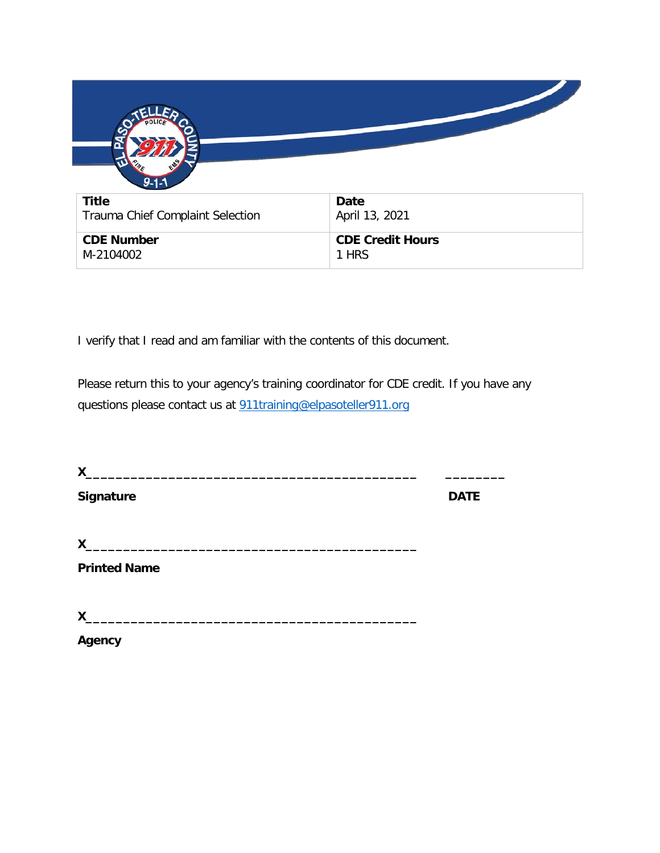| $9 - 1 -$                        |                         |
|----------------------------------|-------------------------|
| <b>Title</b>                     | Date                    |
| Trauma Chief Complaint Selection | April 13, 2021          |
| <b>CDE Number</b>                | <b>CDE Credit Hours</b> |
| M-2104002                        | 1 HRS                   |

I verify that I read and am familiar with the contents of this document.

Please return this to your agency's training coordinator for CDE credit. If you have any questions please contact us at [911training@elpasoteller911.org](mailto:911training@elpasoteller911.org)

| X                   |             |
|---------------------|-------------|
| Signature           | <b>DATE</b> |
| X                   |             |
| <b>Printed Name</b> |             |
| X                   |             |
| Agency              |             |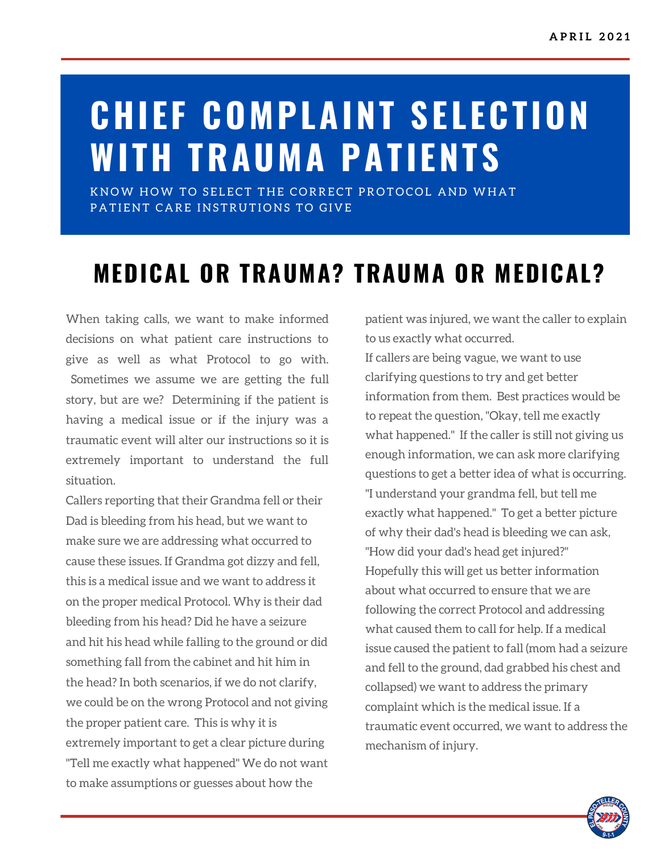# **CHIEF COMPLAINT SELECTION WITH TRAUMA PATIENTS**

KNOW HOW TO SELECT THE CORRECT PROTOCOL AND WHAT PATIENT CARE INSTRUTIONS TO GIVE

## **MEDICAL OR TRAUMA? TRAUMA OR MEDICAL?**

When taking calls, we want to make informed decisions on what patient care instructions to give as well as what Protocol to go with. Sometimes we assume we are getting the full story, but are we? Determining if the patient is having a medical issue or if the injury was a traumatic event will alter our instructions so it is extremely important to understand the full situation.

Callers reporting that their Grandma fell or their Dad is bleeding from his head, but we want to make sure we are addressing what occurred to cause these issues. If Grandma got dizzy and fell, this is a medical issue and we want to address it on the proper medical Protocol. Why is their dad bleeding from his head? Did he have a seizure and hit his head while falling to the ground or did something fall from the cabinet and hit him in the head? In both scenarios, if we do not clarify, we could be on the wrong Protocol and not giving the proper patient care. This is why it is extremely important to get a clear picture during "Tell me exactly what happened" We do not want to make assumptions or guesses about how the

patient was injured, we want the caller to explain to us exactly what occurred. If callers are being vague, we want to use clarifying questions to try and get better information from them. Best practices would be to repeat the question, "Okay, tell me exactly what happened. " If the caller is still not giving us enough information, we can ask more clarifying questions to get a better idea of what is occurring. "I understand your grandma fell, but tell me exactly what happened. " To get a better picture of why their dad's head is bleeding we can ask, "How did your dad's head get injured?" Hopefully this will get us better information about what occurred to ensure that we are following the correct Protocol and addressing what caused them to call for help. If a medical issue caused the patient to fall (mom had a seizure and fell to the ground, dad grabbed his chest and collapsed) we want to address the primary complaint which is the medical issue. If a traumatic event occurred, we want to address the mechanism of injury.

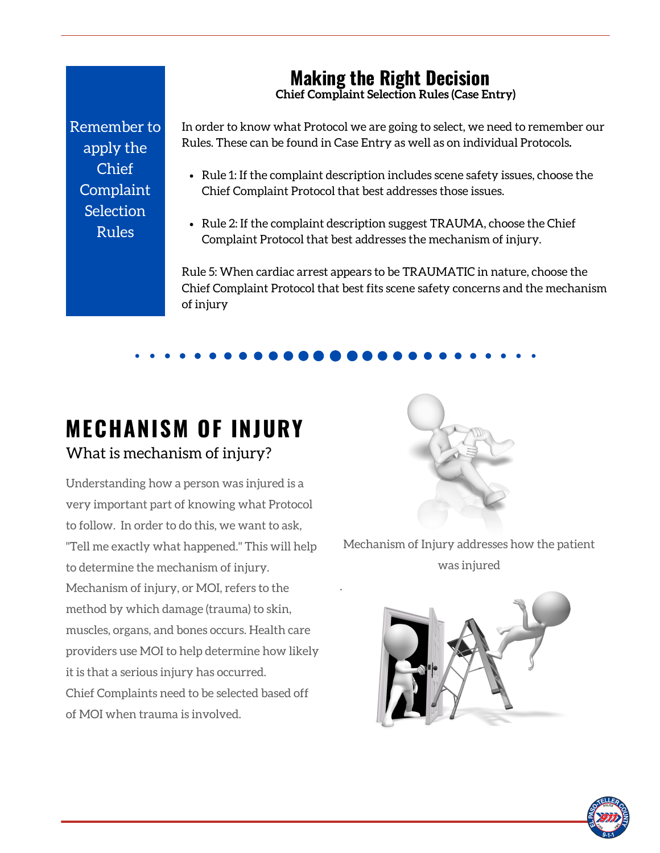### **Making the Right Decision**

**Chief Complaint Selection Rules (Case Entry)**

Remember to apply the Chief **Complaint Selection** Rules

In order to know what Protocol we are going to select, we need to remember our Rules. These can be found in Case Entry as well as on individual Protocols**.**

- Rule 1: If the complaint description includes scene safety issues, choose the Chief Complaint Protocol that best addresses those issues.
- Rule 2: If the complaint description suggest TRAUMA, choose the Chief Complaint Protocol that best addresses the mechanism of injury.

.

Rule 5: When cardiac arrest appears to be TRAUMATIC in nature, choose the Chief Complaint Protocol that best fits scene safety concerns and the mechanism of injury

#### **MECHANISM OF INJURY** What is mechanism of injury?

Understanding how a person was injured is a very important part of knowing what Protocol to follow. In order to do this, we want to ask, "Tell me exactly what happened. " This will help to determine the mechanism of injury. Mechanism of injury, or MOI, refers to the method by which damage (trauma) to skin, muscles, organs, and bones occurs. Health care providers use MOI to help determine how likely it is that a serious injury has occurred. Chief Complaints need to be selected based off of MOI when trauma is involved.



Mechanism of Injury addresses how the patient was injured



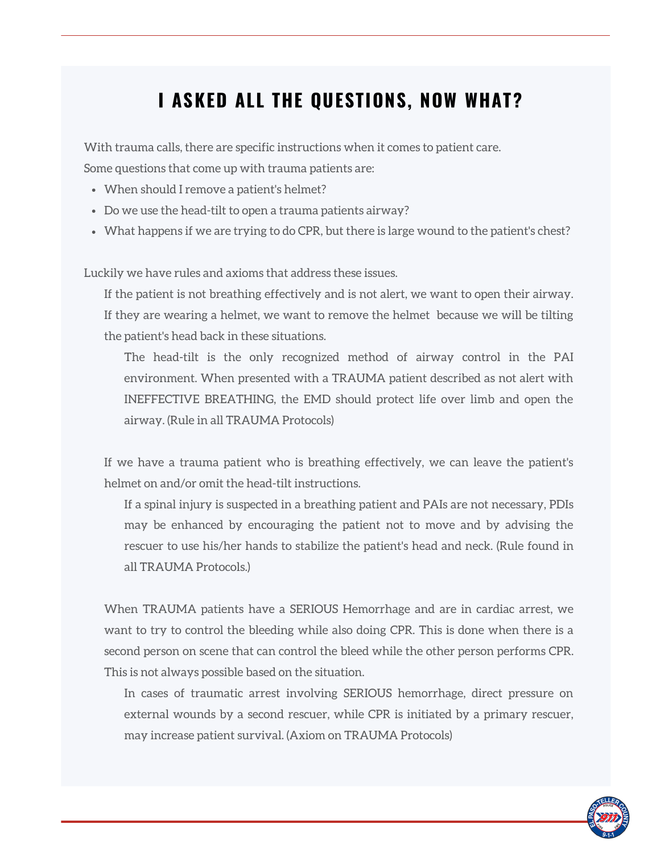## **I ASKED ALL THE QUESTIONS, NOW WHAT?**

With trauma calls, there are specific instructions when it comes to patient care. Some questions that come up with trauma patients are:

- When should I remove a patient's helmet?
- Do we use the head-tilt to open a trauma patients airway?
- What happens if we are trying to do CPR, but there is large wound to the patient's chest?

Luckily we have rules and axioms that address these issues.

If the patient is not breathing effectively and is not alert, we want to open their airway. If they are wearing a helmet, we want to remove the helmet because we will be tilting the patient's head back in these situations.

The head-tilt is the only recognized method of airway control in the PAI environment. When presented with a TRAUMA patient described as not alert with INEFFECTIVE BREATHING, the EMD should protect life over limb and open the airway. (Rule in all TRAUMA Protocols)

If we have a trauma patient who is breathing effectively, we can leave the patient's helmet on and/or omit the head-tilt instructions.

If a spinal injury is suspected in a breathing patient and PAIs are not necessary, PDIs may be enhanced by encouraging the patient not to move and by advising the rescuer to use his/her hands to stabilize the patient's head and neck. (Rule found in all TRAUMA Protocols.)

When TRAUMA patients have a SERIOUS Hemorrhage and are in cardiac arrest, we want to try to control the bleeding while also doing CPR. This is done when there is a second person on scene that can control the bleed while the other person performs CPR. This is not always possible based on the situation.

In cases of traumatic arrest involving SERIOUS hemorrhage, direct pressure on external wounds by a second rescuer, while CPR is initiated by a primary rescuer, may increase patient survival. (Axiom on TRAUMA Protocols)

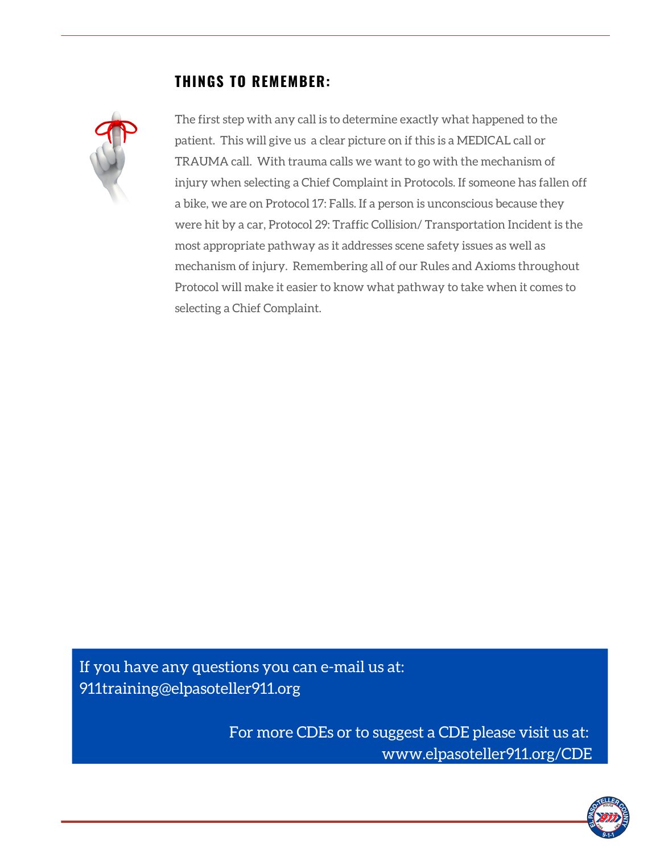#### **THINGS TO REMEMBER:**



The first step with any call is to determine exactly what happened to the patient. This will give us a clear picture on if this is a MEDICAL call or TRAUMA call. With trauma calls we want to go with the mechanism of injury when selecting a Chief Complaint in Protocols. If someone has fallen off a bike, we are on Protocol 17: Falls. If a person is unconscious because they were hit by a car, Protocol 29: Traffic Collision/ Transportation Incident is the most appropriate pathway as it addresses scene safety issues as well as mechanism of injury. Remembering all of our Rules and Axioms throughout Protocol will make it easier to know what pathway to take when it comes to selecting a Chief Complaint.

If you have any questions you can e-mail us at: 911training@elpasoteller911.org

> For more CDEs or to suggest a CDE please visit us at: www.elpasoteller911.org/CDE